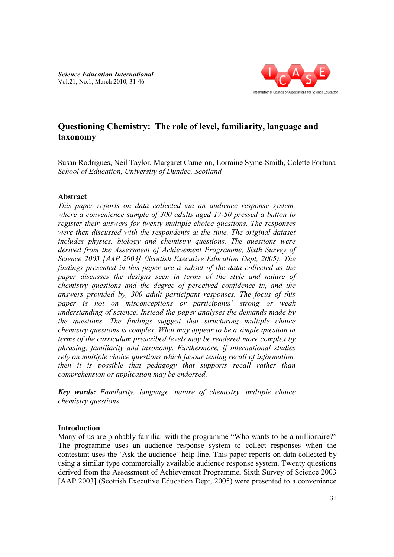

# **Questioning Chemistry: The role of level, familiarity, language and try: nguage taxonomy**

Susan Rodrigues, Neil Taylor, Margaret Cameron, Lorraine Syme-Smith, Colette Fortuna *School of Education, University of Dundee, Scotland*

## **Abstract**

*This paper reports on data collected via an audience response system, School of Education, University of Dundee, Scotland*<br> **Abstract**<br> *This paper reports on data collected via an audience response system,*<br>
where a convenience sample of 300 adults aged 17-50 pressed a button to *register their answers for twenty multiple choice questions. The respons r were then discussed with the respondents at the time. The original dataset*  were then discussed with the respondents at the time. The original dataset includes physics, biology and chemistry questions. The questions were *derived from the Assessment of Achievement Programme, Sixth Survey of*  derived from the Assessment of Achievement Programme, Sixth Survey of<br>Science 2003 [AAP 2003] (Scottish Executive Education Dept, 2005). The *findings presented in this paper are a subset of the data collected as the*  findings presented in this paper are a subset of the data collected as the<br>paper discusses the designs seen in terms of the style and nature of *chemistry questions and the degree of perceived confidence in, and the*  answers provided by, 300 adult participant responses. The focus of this *paper is not on misconceptions or participants' strong or weak understanding of science. Instead the paper analyses the demands made by the questions. The findings suggest that structuring mul chemistry questions is complex. What may appear to be a simple question in terms of the curriculum prescribed levels may be rendered more complex by phrasing, familiarity and taxonomy. Furthermore, if international studies rely on multiple choice questions which favour testing recall of information, chemistry questions is complex. What may appear to be a simple question in*<br>*terms of the curriculum prescribed levels may be rendered more complex by*<br>*phrasing, familiarity and taxonomy. Furthermore, if international st comprehension or application may be endorsed. conceptions or participants' strong or weak*<br>*c. Instead the paper analyses the demands made by*<br>*dings suggest that structuring multiple choice ystem, ton ponses dataset*<br>*s* were<br>*vey of*<br>*b*). The<br>*as the*<br>*as the*<br>*ade by*<br>*choice*<br>*choice*<br>*shade by*<br>*choice*<br>*shade by*<br>*choice*<br>*mation, than* 

comprehension or application may be endorsed.<br>**Key words:** Familarity, language, nature of chemistry, multiple choice *chemistry questions*

## **Introduction**

Many of us are probably familiar with the programme "Who wants to be a millionaire?" The programme uses an audience response system to collect responses when the The programme uses an audience response system to collect responses when the contestant uses the 'Ask the audience' help line. This paper reports on data collected by using a similar type commercially available audience response system. Twe . Twenty questions derived from the Assessment of Achievement Programme, Sixth Survey of Science 2003 using a similar type commercially available audience response system. Twenty questions<br>derived from the Assessment of Achievement Programme, Sixth Survey of Science 2003<br>[AAP 2003] (Scottish Executive Education Dept, 2005)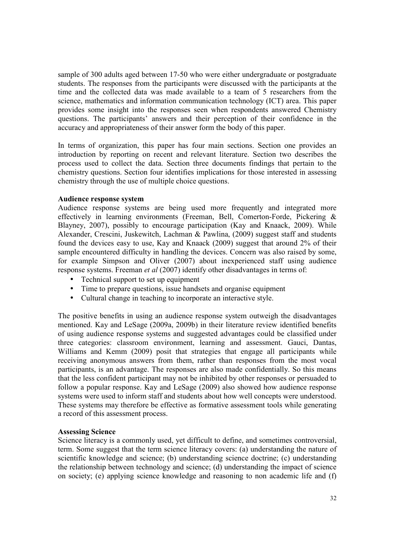sample of 300 adults aged between 17-50 who were either undergraduate or postgraduate students. The responses from the participants were discussed with the participants at the time and the collected data was made available to a team of 5 researchers from the science, mathematics and information communication technology (ICT) area. This paper provides some insight into the responses seen when respondents answered Chemistry questions. The participants' answers and their perception of their confidence in the accuracy and appropriateness of their answer form the body of this paper.

In terms of organization, this paper has four main sections. Section one provides an introduction by reporting on recent and relevant literature. Section two describes the process used to collect the data. Section three documents findings that pertain to the chemistry questions. Section four identifies implications for those interested in assessing chemistry through the use of multiple choice questions.

### **Audience response system**

Audience response systems are being used more frequently and integrated more effectively in learning environments (Freeman, Bell, Comerton-Forde, Pickering & Blayney, 2007), possibly to encourage participation (Kay and Knaack, 2009). While Alexander, Crescini, Juskewitch, Lachman & Pawlina, (2009) suggest staff and students found the devices easy to use, Kay and Knaack (2009) suggest that around 2% of their sample encountered difficulty in handling the devices. Concern was also raised by some, for example Simpson and Oliver (2007) about inexperienced staff using audience response systems. Freeman *et al* (2007) identify other disadvantages in terms of:

- Technical support to set up equipment
- Time to prepare questions, issue handsets and organise equipment
- Cultural change in teaching to incorporate an interactive style.

The positive benefits in using an audience response system outweigh the disadvantages mentioned. Kay and LeSage (2009a, 2009b) in their literature review identified benefits of using audience response systems and suggested advantages could be classified under three categories: classroom environment, learning and assessment. Gauci, Dantas, Williams and Kemm (2009) posit that strategies that engage all participants while receiving anonymous answers from them, rather than responses from the most vocal participants, is an advantage. The responses are also made confidentially. So this means that the less confident participant may not be inhibited by other responses or persuaded to follow a popular response. Kay and LeSage (2009) also showed how audience response systems were used to inform staff and students about how well concepts were understood. These systems may therefore be effective as formative assessment tools while generating a record of this assessment process.

### **Assessing Science**

Science literacy is a commonly used, yet difficult to define, and sometimes controversial, term. Some suggest that the term science literacy covers: (a) understanding the nature of scientific knowledge and science; (b) understanding science doctrine; (c) understanding the relationship between technology and science; (d) understanding the impact of science on society; (e) applying science knowledge and reasoning to non academic life and (f)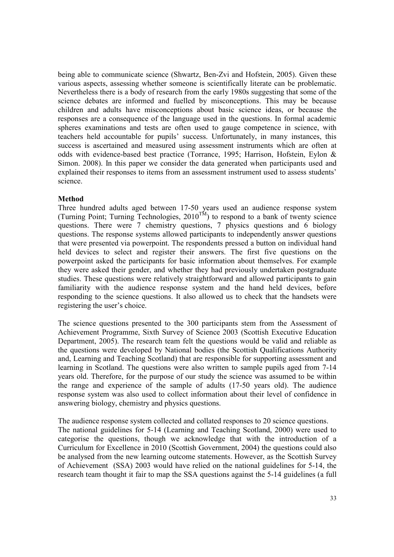being able to communicate science (Shwartz, Ben-Zvi and Hofstein, 2005). Given these various aspects, assessing whether someone is scientifically literate can be problematic. Nevertheless there is a body of research from the early 1980s suggesting that some of the science debates are informed and fuelled by misconceptions. This may be because children and adults have misconceptions about basic science ideas, or because the responses are a consequence of the language used in the questions. In formal academic spheres examinations and tests are often used to gauge competence in science, with teachers held accountable for pupils' success. Unfortunately, in many instances, this success is ascertained and measured using assessment instruments which are often at odds with evidence-based best practice (Torrance, 1995; Harrison, Hofstein, Eylon & Simon. 2008). In this paper we consider the data generated when participants used and explained their responses to items from an assessment instrument used to assess students' science.

### **Method**

Three hundred adults aged between 17-50 years used an audience response system (Turning Point; Turning Technologies,  $2010^{TM}$ ) to respond to a bank of twenty science questions. There were 7 chemistry questions, 7 physics questions and 6 biology questions. The response systems allowed participants to independently answer questions that were presented via powerpoint. The respondents pressed a button on individual hand held devices to select and register their answers. The first five questions on the powerpoint asked the participants for basic information about themselves. For example they were asked their gender, and whether they had previously undertaken postgraduate studies. These questions were relatively straightforward and allowed participants to gain familiarity with the audience response system and the hand held devices, before responding to the science questions. It also allowed us to check that the handsets were registering the user's choice.

The science questions presented to the 300 participants stem from the Assessment of Achievement Programme, Sixth Survey of Science 2003 (Scottish Executive Education Department, 2005). The research team felt the questions would be valid and reliable as the questions were developed by National bodies (the Scottish Qualifications Authority and, Learning and Teaching Scotland) that are responsible for supporting assessment and learning in Scotland. The questions were also written to sample pupils aged from 7-14 years old. Therefore, for the purpose of our study the science was assumed to be within the range and experience of the sample of adults (17-50 years old). The audience response system was also used to collect information about their level of confidence in answering biology, chemistry and physics questions.

The audience response system collected and collated responses to 20 science questions. The national guidelines for 5-14 (Learning and Teaching Scotland, 2000) were used to categorise the questions, though we acknowledge that with the introduction of a Curriculum for Excellence in 2010 (Scottish Government, 2004) the questions could also be analysed from the new learning outcome statements. However, as the Scottish Survey of Achievement (SSA) 2003 would have relied on the national guidelines for 5-14, the research team thought it fair to map the SSA questions against the 5-14 guidelines (a full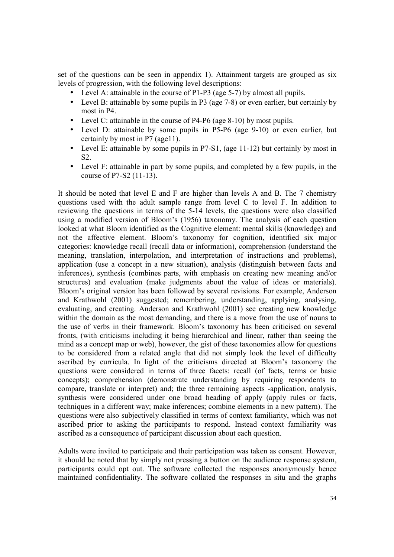set of the questions can be seen in appendix 1). Attainment targets are grouped as six levels of progression, with the following level descriptions:

- Level A: attainable in the course of P1-P3 (age 5-7) by almost all pupils.
- Level B: attainable by some pupils in P3 (age 7-8) or even earlier, but certainly by most in P4.
- Level C: attainable in the course of P4-P6 (age 8-10) by most pupils.
- Level D: attainable by some pupils in P5-P6 (age 9-10) or even earlier, but certainly by most in P7 (age11).
- Level E: attainable by some pupils in P7-S1, (age 11-12) but certainly by most in S2.
- Level F: attainable in part by some pupils, and completed by a few pupils, in the course of P7-S2 (11-13).

It should be noted that level E and F are higher than levels A and B. The 7 chemistry questions used with the adult sample range from level C to level F. In addition to reviewing the questions in terms of the 5-14 levels, the questions were also classified using a modified version of Bloom's (1956) taxonomy. The analysis of each question looked at what Bloom identified as the Cognitive element: mental skills (knowledge) and not the affective element. Bloom's taxonomy for cognition, identified six major categories: knowledge recall (recall data or information), comprehension (understand the meaning, translation, interpolation, and interpretation of instructions and problems), application (use a concept in a new situation), analysis (distinguish between facts and inferences), synthesis (combines parts, with emphasis on creating new meaning and/or structures) and evaluation (make judgments about the value of ideas or materials). Bloom's original version has been followed by several revisions. For example, Anderson and Krathwohl (2001) suggested; remembering, understanding, applying, analysing, evaluating, and creating. Anderson and Krathwohl (2001) see creating new knowledge within the domain as the most demanding, and there is a move from the use of nouns to the use of verbs in their framework. Bloom's taxonomy has been criticised on several fronts, (with criticisms including it being hierarchical and linear, rather than seeing the mind as a concept map or web), however, the gist of these taxonomies allow for questions to be considered from a related angle that did not simply look the level of difficulty ascribed by curricula. In light of the criticisms directed at Bloom's taxonomy the questions were considered in terms of three facets: recall (of facts, terms or basic concepts); comprehension (demonstrate understanding by requiring respondents to compare, translate or interpret) and; the three remaining aspects -application, analysis, synthesis were considered under one broad heading of apply (apply rules or facts, techniques in a different way; make inferences; combine elements in a new pattern). The questions were also subjectively classified in terms of context familiarity, which was not ascribed prior to asking the participants to respond. Instead context familiarity was ascribed as a consequence of participant discussion about each question.

Adults were invited to participate and their participation was taken as consent. However, it should be noted that by simply not pressing a button on the audience response system, participants could opt out. The software collected the responses anonymously hence maintained confidentiality. The software collated the responses in situ and the graphs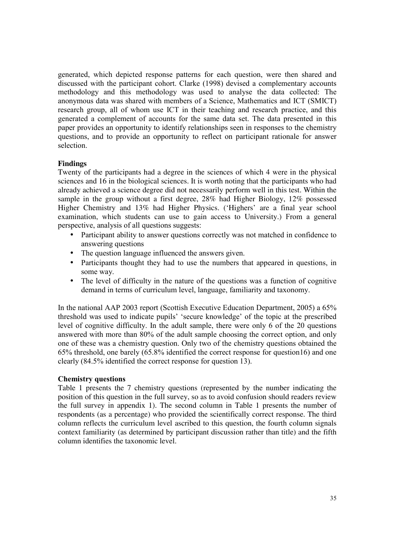generated, which depicted response patterns for each question, were then shared and discussed with the participant cohort. Clarke (1998) devised a complementary accounts methodology and this methodology was used to analyse the data collected: The anonymous data was shared with members of a Science, Mathematics and ICT (SMICT) research group, all of whom use ICT in their teaching and research practice, and this generated a complement of accounts for the same data set. The data presented in this paper provides an opportunity to identify relationships seen in responses to the chemistry questions, and to provide an opportunity to reflect on participant rationale for answer selection.

# **Findings**

Twenty of the participants had a degree in the sciences of which 4 were in the physical sciences and 16 in the biological sciences. It is worth noting that the participants who had already achieved a science degree did not necessarily perform well in this test. Within the sample in the group without a first degree, 28% had Higher Biology, 12% possessed Higher Chemistry and 13% had Higher Physics. ('Highers' are a final year school examination, which students can use to gain access to University.) From a general perspective, analysis of all questions suggests:

- Participant ability to answer questions correctly was not matched in confidence to answering questions
- The question language influenced the answers given.
- Participants thought they had to use the numbers that appeared in questions, in some way.
- The level of difficulty in the nature of the questions was a function of cognitive demand in terms of curriculum level, language, familiarity and taxonomy.

In the national AAP 2003 report (Scottish Executive Education Department, 2005) a 65% threshold was used to indicate pupils' 'secure knowledge' of the topic at the prescribed level of cognitive difficulty. In the adult sample, there were only 6 of the 20 questions answered with more than 80% of the adult sample choosing the correct option, and only one of these was a chemistry question. Only two of the chemistry questions obtained the 65% threshold, one barely (65.8% identified the correct response for question16) and one clearly (84.5% identified the correct response for question 13).

## **Chemistry questions**

Table 1 presents the 7 chemistry questions (represented by the number indicating the position of this question in the full survey, so as to avoid confusion should readers review the full survey in appendix 1). The second column in Table 1 presents the number of respondents (as a percentage) who provided the scientifically correct response. The third column reflects the curriculum level ascribed to this question, the fourth column signals context familiarity (as determined by participant discussion rather than title) and the fifth column identifies the taxonomic level.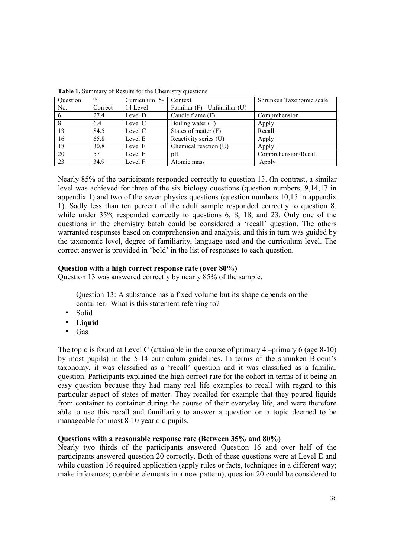| Question | $\frac{0}{0}$ | Curriculum 5- | Context                       | Shrunken Taxonomic scale |
|----------|---------------|---------------|-------------------------------|--------------------------|
| No.      | Correct       | 14 Level      | Familiar (F) - Unfamiliar (U) |                          |
| 6        | 27.4          | Level D       | Candle flame (F)              | Comprehension            |
| 8        | 6.4           | Level C       | Boiling water (F)             | Apply                    |
| 13       | 84.5          | Level C       | States of matter $(F)$        | Recall                   |
| 16       | 65.8          | Level E       | Reactivity series (U)         | Apply                    |
| 18       | 30.8          | Level F       | Chemical reaction (U)         | Apply                    |
| 20       | 57            | Level E       | pΗ                            | Comprehension/Recall     |
| 23       | 34.9          | Level F       | Atomic mass                   | Apply                    |

|  | Table 1. Summary of Results for the Chemistry questions |  |  |  |  |
|--|---------------------------------------------------------|--|--|--|--|
|--|---------------------------------------------------------|--|--|--|--|

Nearly 85% of the participants responded correctly to question 13. (In contrast, a similar level was achieved for three of the six biology questions (question numbers, 9,14,17 in appendix 1) and two of the seven physics questions (question numbers 10,15 in appendix 1). Sadly less than ten percent of the adult sample responded correctly to question 8, while under 35% responded correctly to questions 6, 8, 18, and 23. Only one of the questions in the chemistry batch could be considered a 'recall' question. The others warranted responses based on comprehension and analysis, and this in turn was guided by the taxonomic level, degree of familiarity, language used and the curriculum level. The correct answer is provided in 'bold' in the list of responses to each question.

# **Question with a high correct response rate (over 80%)**

Question 13 was answered correctly by nearly 85% of the sample.

Question 13: A substance has a fixed volume but its shape depends on the container. What is this statement referring to?

- Solid
- **Liquid**
- Gas

The topic is found at Level C (attainable in the course of primary 4 –primary 6 (age 8-10) by most pupils) in the 5-14 curriculum guidelines. In terms of the shrunken Bloom's taxonomy, it was classified as a 'recall' question and it was classified as a familiar question. Participants explained the high correct rate for the cohort in terms of it being an easy question because they had many real life examples to recall with regard to this particular aspect of states of matter. They recalled for example that they poured liquids from container to container during the course of their everyday life, and were therefore able to use this recall and familiarity to answer a question on a topic deemed to be manageable for most 8-10 year old pupils.

## **Questions with a reasonable response rate (Between 35% and 80%)**

Nearly two thirds of the participants answered Question 16 and over half of the participants answered question 20 correctly. Both of these questions were at Level E and while question 16 required application (apply rules or facts, techniques in a different way; make inferences; combine elements in a new pattern), question 20 could be considered to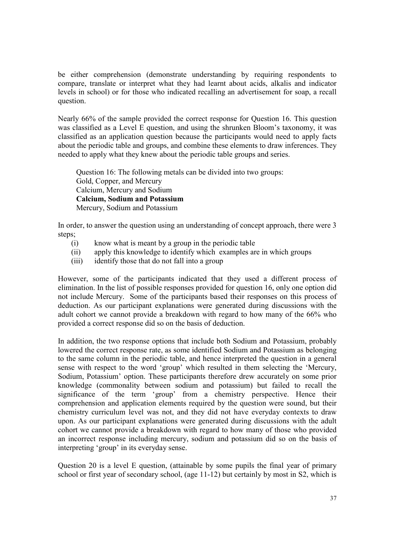be either comprehension (demonstrate understanding by requiring respondents to compare, translate or interpret what they had learnt about acids, alkalis and indicator levels in school) or for those who indicated recalling an advertisement for soap, a recall question.

Nearly 66% of the sample provided the correct response for Question 16. This question was classified as a Level E question, and using the shrunken Bloom's taxonomy, it was classified as an application question because the participants would need to apply facts about the periodic table and groups, and combine these elements to draw inferences. They needed to apply what they knew about the periodic table groups and series.

Question 16: The following metals can be divided into two groups: Gold, Copper, and Mercury Calcium, Mercury and Sodium **Calcium, Sodium and Potassium**  Mercury, Sodium and Potassium

In order, to answer the question using an understanding of concept approach, there were 3 steps;

- (i) know what is meant by a group in the periodic table
- (ii) apply this knowledge to identify which examples are in which groups
- (iii) identify those that do not fall into a group

However, some of the participants indicated that they used a different process of elimination. In the list of possible responses provided for question 16, only one option did not include Mercury. Some of the participants based their responses on this process of deduction. As our participant explanations were generated during discussions with the adult cohort we cannot provide a breakdown with regard to how many of the 66% who provided a correct response did so on the basis of deduction.

In addition, the two response options that include both Sodium and Potassium, probably lowered the correct response rate, as some identified Sodium and Potassium as belonging to the same column in the periodic table, and hence interpreted the question in a general sense with respect to the word 'group' which resulted in them selecting the 'Mercury, Sodium, Potassium' option. These participants therefore drew accurately on some prior knowledge (commonality between sodium and potassium) but failed to recall the significance of the term 'group' from a chemistry perspective. Hence their comprehension and application elements required by the question were sound, but their chemistry curriculum level was not, and they did not have everyday contexts to draw upon. As our participant explanations were generated during discussions with the adult cohort we cannot provide a breakdown with regard to how many of those who provided an incorrect response including mercury, sodium and potassium did so on the basis of interpreting 'group' in its everyday sense.

Question 20 is a level E question, (attainable by some pupils the final year of primary school or first year of secondary school, (age 11-12) but certainly by most in S2, which is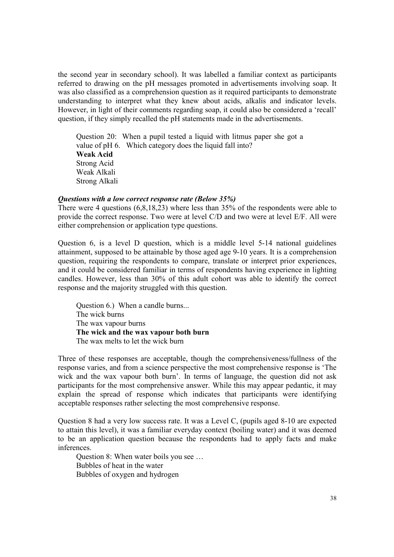the second year in secondary school). It was labelled a familiar context as participants referred to drawing on the pH messages promoted in advertisements involving soap. It was also classified as a comprehension question as it required participants to demonstrate understanding to interpret what they knew about acids, alkalis and indicator levels. However, in light of their comments regarding soap, it could also be considered a 'recall' question, if they simply recalled the pH statements made in the advertisements.

Question 20: When a pupil tested a liquid with litmus paper she got a value of pH 6. Which category does the liquid fall into? **Weak Acid**  Strong Acid Weak Alkali Strong Alkali

### *Questions with a low correct response rate (Below 35%)*

There were 4 questions (6,8,18,23) where less than 35% of the respondents were able to provide the correct response. Two were at level C/D and two were at level E/F. All were either comprehension or application type questions.

Question 6, is a level D question, which is a middle level 5-14 national guidelines attainment, supposed to be attainable by those aged age 9-10 years. It is a comprehension question, requiring the respondents to compare, translate or interpret prior experiences, and it could be considered familiar in terms of respondents having experience in lighting candles. However, less than 30% of this adult cohort was able to identify the correct response and the majority struggled with this question.

Question 6.) When a candle burns... The wick burns The wax vapour burns **The wick and the wax vapour both burn**  The wax melts to let the wick burn

Three of these responses are acceptable, though the comprehensiveness/fullness of the response varies, and from a science perspective the most comprehensive response is 'The wick and the wax vapour both burn'. In terms of language, the question did not ask participants for the most comprehensive answer. While this may appear pedantic, it may explain the spread of response which indicates that participants were identifying acceptable responses rather selecting the most comprehensive response.

Question 8 had a very low success rate. It was a Level C, (pupils aged 8-10 are expected to attain this level), it was a familiar everyday context (boiling water) and it was deemed to be an application question because the respondents had to apply facts and make inferences.

Question 8: When water boils you see … Bubbles of heat in the water Bubbles of oxygen and hydrogen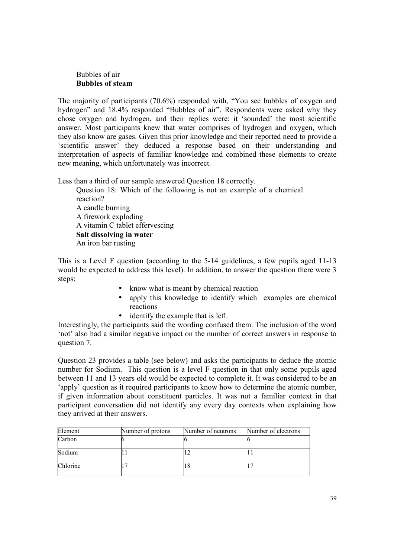## Bubbles of air **Bubbles of steam**

The majority of participants (70.6%) responded with, "You see bubbles of oxygen and hydrogen" and 18.4% responded "Bubbles of air". Respondents were asked why they chose oxygen and hydrogen, and their replies were: it 'sounded' the most scientific answer. Most participants knew that water comprises of hydrogen and oxygen, which they also know are gases. Given this prior knowledge and their reported need to provide a 'scientific answer' they deduced a response based on their understanding and interpretation of aspects of familiar knowledge and combined these elements to create new meaning, which unfortunately was incorrect.

Less than a third of our sample answered Question 18 correctly.

Question 18: Which of the following is not an example of a chemical reaction? A candle burning A firework exploding A vitamin C tablet effervescing **Salt dissolving in water**  An iron bar rusting

This is a Level F question (according to the 5-14 guidelines, a few pupils aged 11-13 would be expected to address this level). In addition, to answer the question there were 3 steps;

- know what is meant by chemical reaction
- apply this knowledge to identify which examples are chemical reactions
	- identify the example that is left.

Interestingly, the participants said the wording confused them. The inclusion of the word 'not' also had a similar negative impact on the number of correct answers in response to question 7.

Question 23 provides a table (see below) and asks the participants to deduce the atomic number for Sodium. This question is a level F question in that only some pupils aged between 11 and 13 years old would be expected to complete it. It was considered to be an 'apply' question as it required participants to know how to determine the atomic number, if given information about constituent particles. It was not a familiar context in that participant conversation did not identify any every day contexts when explaining how they arrived at their answers.

| Element  | Number of protons | Number of neutrons | Number of electrons |
|----------|-------------------|--------------------|---------------------|
| Carbon   |                   |                    |                     |
| Sodium   |                   |                    |                     |
| Chlorine |                   |                    |                     |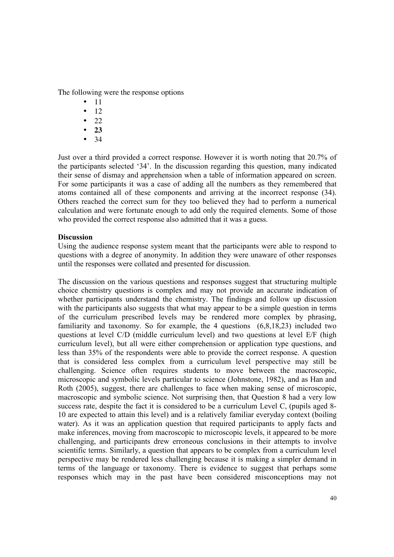The following were the response options

- 11
- 12
- 22
- **23**
- 34

Just over a third provided a correct response. However it is worth noting that 20.7% of the participants selected '34'. In the discussion regarding this question, many indicated their sense of dismay and apprehension when a table of information appeared on screen. For some participants it was a case of adding all the numbers as they remembered that atoms contained all of these components and arriving at the incorrect response (34). Others reached the correct sum for they too believed they had to perform a numerical calculation and were fortunate enough to add only the required elements. Some of those who provided the correct response also admitted that it was a guess.

# **Discussion**

Using the audience response system meant that the participants were able to respond to questions with a degree of anonymity. In addition they were unaware of other responses until the responses were collated and presented for discussion.

The discussion on the various questions and responses suggest that structuring multiple choice chemistry questions is complex and may not provide an accurate indication of whether participants understand the chemistry. The findings and follow up discussion with the participants also suggests that what may appear to be a simple question in terms of the curriculum prescribed levels may be rendered more complex by phrasing, familiarity and taxonomy. So for example, the 4 questions (6,8,18,23) included two questions at level C/D (middle curriculum level) and two questions at level E/F (high curriculum level), but all were either comprehension or application type questions, and less than 35% of the respondents were able to provide the correct response. A question that is considered less complex from a curriculum level perspective may still be challenging. Science often requires students to move between the macroscopic, microscopic and symbolic levels particular to science (Johnstone, 1982), and as Han and Roth (2005), suggest, there are challenges to face when making sense of microscopic, macroscopic and symbolic science. Not surprising then, that Question 8 had a very low success rate, despite the fact it is considered to be a curriculum Level C, (pupils aged 8- 10 are expected to attain this level) and is a relatively familiar everyday context (boiling water). As it was an application question that required participants to apply facts and make inferences, moving from macroscopic to microscopic levels, it appeared to be more challenging, and participants drew erroneous conclusions in their attempts to involve scientific terms. Similarly, a question that appears to be complex from a curriculum level perspective may be rendered less challenging because it is making a simpler demand in terms of the language or taxonomy. There is evidence to suggest that perhaps some responses which may in the past have been considered misconceptions may not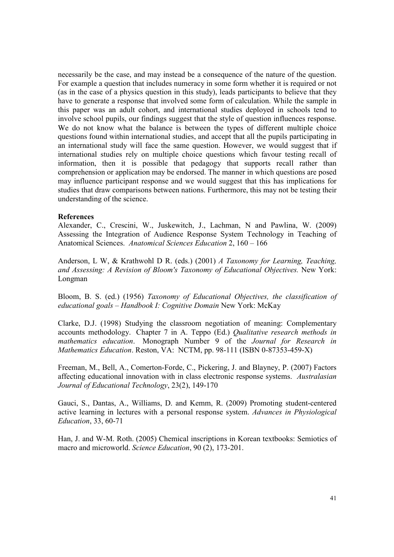necessarily be the case, and may instead be a consequence of the nature of the question. For example a question that includes numeracy in some form whether it is required or not (as in the case of a physics question in this study), leads participants to believe that they have to generate a response that involved some form of calculation. While the sample in this paper was an adult cohort, and international studies deployed in schools tend to involve school pupils, our findings suggest that the style of question influences response. We do not know what the balance is between the types of different multiple choice questions found within international studies, and accept that all the pupils participating in an international study will face the same question. However, we would suggest that if international studies rely on multiple choice questions which favour testing recall of information, then it is possible that pedagogy that supports recall rather than comprehension or application may be endorsed. The manner in which questions are posed may influence participant response and we would suggest that this has implications for studies that draw comparisons between nations. Furthermore, this may not be testing their understanding of the science.

### **References**

Alexander, C., Crescini, W., Juskewitch, J., Lachman, N and Pawlina, W. (2009) Assessing the Integration of Audience Response System Technology in Teaching of Anatomical Sciences. *Anatomical Sciences Education* 2, 160 – 166

Anderson, L W, & Krathwohl D R. (eds.) (2001) *A Taxonomy for Learning, Teaching, and Assessing: A Revision of Bloom's Taxonomy of Educational Objectives.* New York: Longman

Bloom, B. S. (ed.) (1956) *Taxonomy of Educational Objectives, the classification of educational goals – Handbook I: Cognitive Domain* New York: McKay

Clarke, D.J. (1998) Studying the classroom negotiation of meaning: Complementary accounts methodology. Chapter 7 in A. Teppo (Ed.) *Qualitative research methods in mathematics education*. Monograph Number 9 of the *Journal for Research in Mathematics Education*. Reston, VA: NCTM, pp. 98-111 (ISBN 0-87353-459-X)

Freeman, M., Bell, A., Comerton-Forde, C., Pickering, J. and Blayney, P. (2007) Factors affecting educational innovation with in class electronic response systems. *Australasian Journal of Educational Technology*, 23(2), 149-170

Gauci, S., Dantas, A., Williams, D. and Kemm, R. (2009) Promoting student-centered active learning in lectures with a personal response system. *Advances in Physiological Education*, 33, 60-71

Han, J. and W-M. Roth. (2005) Chemical inscriptions in Korean textbooks: Semiotics of macro and microworld. *Science Education*, 90 (2), 173-201.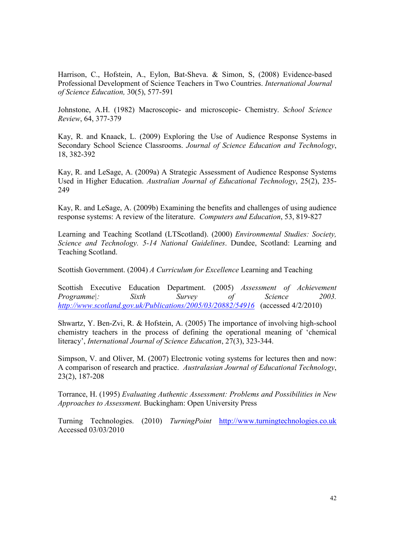Harrison, C., Hofstein, A., Eylon, Bat-Sheva. & Simon, S, (2008) Evidence-based Professional Development of Science Teachers in Two Countries. *International Journal of Science Education,* 30(5), 577-591

Johnstone, A.H. (1982) Macroscopic- and microscopic- Chemistry. *School Science Review*, 64, 377-379

Kay, R. and Knaack, L. (2009) Exploring the Use of Audience Response Systems in Secondary School Science Classrooms. *Journal of Science Education and Technology*, 18, 382-392

Kay, R. and LeSage, A. (2009a) A Strategic Assessment of Audience Response Systems Used in Higher Education. *Australian Journal of Educational Technology*, 25(2), 235- 249

Kay, R. and LeSage, A. (2009b) Examining the benefits and challenges of using audience response systems: A review of the literature. *Computers and Education*, 53, 819-827

Learning and Teaching Scotland (LTScotland). (2000) *Environmental Studies: Society, Science and Technology. 5-14 National Guidelines*. Dundee, Scotland: Learning and Teaching Scotland.

Scottish Government. (2004) *A Curriculum for Excellence* Learning and Teaching

Scottish Executive Education Department. (2005) *Assessment of Achievement Programme|: Sixth Survey of Science 2003. http://www.scotland.gov.uk/Publications/2005/03/20882/54916* (accessed 4/2/2010)

Shwartz, Y. Ben-Zvi, R. & Hofstein, A. (2005) The importance of involving high-school chemistry teachers in the process of defining the operational meaning of 'chemical literacy', *International Journal of Science Education*, 27(3), 323-344.

Simpson, V. and Oliver, M. (2007) Electronic voting systems for lectures then and now: A comparison of research and practice. *Australasian Journal of Educational Technology*, 23(2), 187-208

Torrance, H. (1995) *Evaluating Authentic Assessment: Problems and Possibilities in New Approaches to Assessment.* Buckingham: Open University Press

Turning Technologies. (2010) *TurningPoint* http://www.turningtechnologies.co.uk Accessed 03/03/2010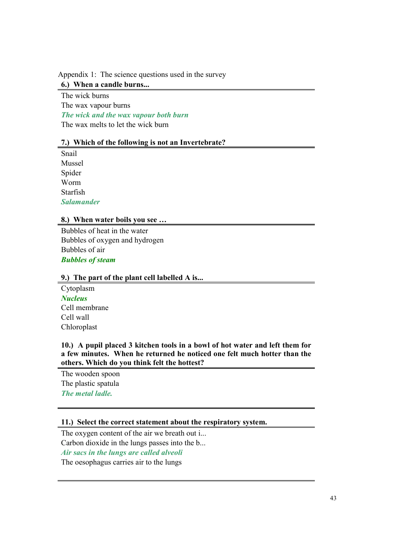Appendix 1: The science questions used in the survey

**6.) When a candle burns...** 

The wick burns The wax vapour burns *The wick and the wax vapour both burn*  The wax melts to let the wick burn

# **7.) Which of the following is not an Invertebrate?**

Snail Mussel Spider Worm Starfish *Salamander* 

## **8.) When water boils you see …**

Bubbles of heat in the water Bubbles of oxygen and hydrogen Bubbles of air *Bubbles of steam* 

# **9.) The part of the plant cell labelled A is...**

Cytoplasm *Nucleus*  Cell membrane Cell wall Chloroplast

**10.) A pupil placed 3 kitchen tools in a bowl of hot water and left them for a few minutes. When he returned he noticed one felt much hotter than the others. Which do you think felt the hottest?** 

The wooden spoon The plastic spatula *The metal ladle.* 

## **11.) Select the correct statement about the respiratory system.**

The oxygen content of the air we breath out i... Carbon dioxide in the lungs passes into the b... *Air sacs in the lungs are called alveoli*  The oesophagus carries air to the lungs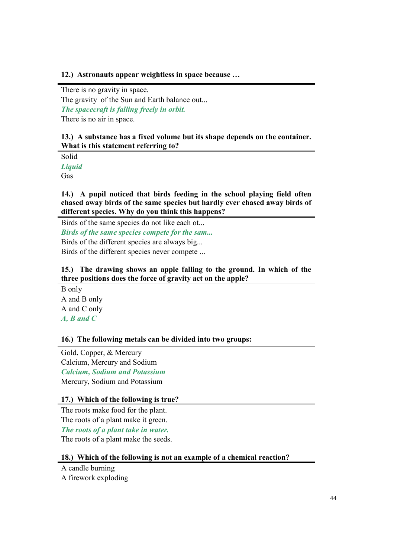### **12.) Astronauts appear weightless in space because …**

There is no gravity in space. The gravity of the Sun and Earth balance out... *The spacecraft is falling freely in orbit.*  There is no air in space.

## **13.) A substance has a fixed volume but its shape depends on the container. What is this statement referring to?**

Solid *Liquid*  Gas

**14.) A pupil noticed that birds feeding in the school playing field often chased away birds of the same species but hardly ever chased away birds of different species. Why do you think this happens?** 

Birds of the same species do not like each ot...

*Birds of the same species compete for the sam...*  Birds of the different species are always big...

Birds of the different species never compete ...

## **15.) The drawing shows an apple falling to the ground. In which of the three positions does the force of gravity act on the apple?**

B only A and B only A and C only *A, B and C* 

**16.) The following metals can be divided into two groups:** 

Gold, Copper, & Mercury Calcium, Mercury and Sodium *Calcium, Sodium and Potassium*  Mercury, Sodium and Potassium

## **17.) Which of the following is true?**

The roots make food for the plant. The roots of a plant make it green. *The roots of a plant take in water.*  The roots of a plant make the seeds.

## **18.) Which of the following is not an example of a chemical reaction?**

A candle burning

A firework exploding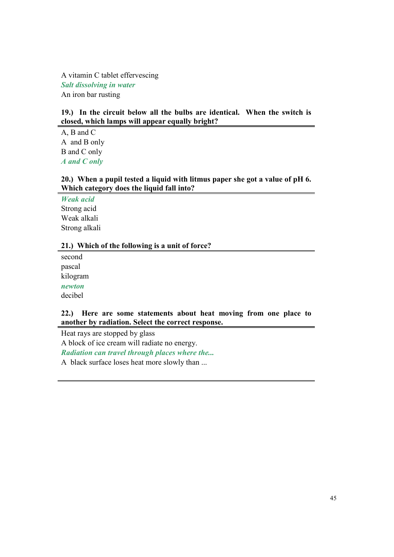A vitamin C tablet effervescing *Salt dissolving in water*  An iron bar rusting

## **19.) In the circuit below all the bulbs are identical. When the switch is closed, which lamps will appear equally bright?**

A, B and C A and B only B and C only *A and C only* 

# **20.) When a pupil tested a liquid with litmus paper she got a value of pH 6. Which category does the liquid fall into?**

*Weak acid*  Strong acid Weak alkali Strong alkali

## **21.) Which of the following is a unit of force?**

second pascal kilogram *newton*  decibel

## **22.) Here are some statements about heat moving from one place to another by radiation. Select the correct response.**

Heat rays are stopped by glass A block of ice cream will radiate no energy. *Radiation can travel through places where the...* 

A black surface loses heat more slowly than ...